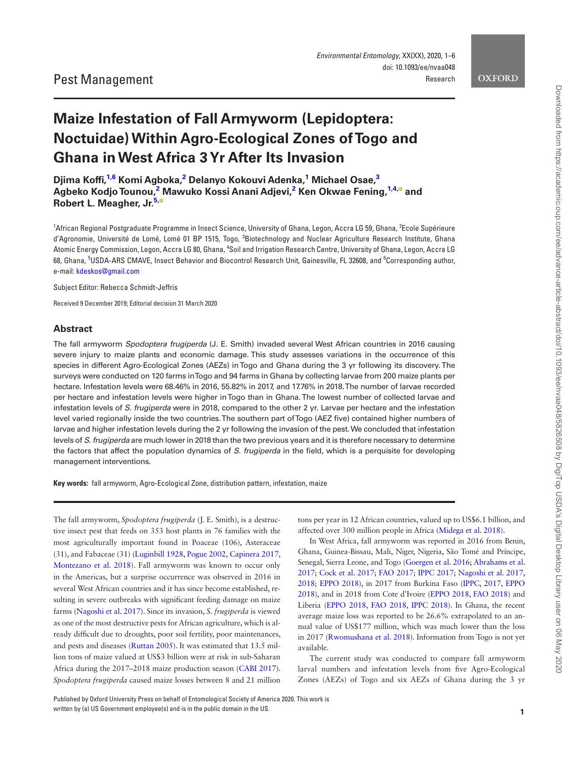<span id="page-0-2"></span>**OXFORD** 

# **Maize Infestation of Fall Armyworm (Lepidoptera: Noctuidae) Within Agro-Ecological Zones of Togo and Ghana in West Africa 3 Yr After Its Invasion**

**Djima Koffi, [1,](#page-0-0)[6](#page-0-1) Komi Agboka, [2](#page-0-2) Delanyo Kokouvi Adenka, [1](#page-0-0) Michael Osae, [3](#page-0-3)**  $^{\text{2}}$  $^{\text{2}}$  $^{\text{2}}$  Agbeko Kodjo Tounou, $^{\text{2}}$  Mawuko Kossi Anani Adjevi, $^{\text{2}}$  Ken Okwae Fening, $^{\text{1,4,0}}$  $^{\text{1,4,0}}$  $^{\text{1,4,0}}$  $^{\text{1,4,0}}$  $^{\text{1,4,0}}$  and **Robert L. Meagher, Jr[.5](#page-0-5)[,](http://orcid.org/0000-0003-2769-1043)**

<span id="page-0-4"></span><span id="page-0-3"></span><span id="page-0-0"></span><sup>1</sup>African Regional Postgraduate Programme in Insect Science, University of Ghana, Legon, Accra LG 59, Ghana, <sup>2</sup>Ecole Supérieure d'Agronomie, Université de Lomé, Lomé 01 BP 1515, Togo, <sup>3</sup>Biotechnology and Nuclear Agriculture Research Institute, Ghana Atomic Energy Commission, Legon, Accra LG 80, Ghana, <sup>4</sup>Soil and Irrigation Research Centre, University of Ghana, Legon, Accra LG 68, Ghana, <sup>5</sup>USDA-ARS CMAVE, Insect Behavior and Biocontrol Research Unit, Gainesville, FL 32608, and <sup>6</sup>Corresponding author, e-mail: [kdeskos@gmail.com](mailto:kdeskos@gmail.com?subject=)

<span id="page-0-5"></span><span id="page-0-1"></span>Subject Editor: Rebecca Schmidt-Jeffris

Received 9 December 2019; Editorial decision 31 March 2020

## **Abstract**

The fall armyworm *Spodoptera frugiperda* (J. E. Smith) invaded several West African countries in 2016 causing severe injury to maize plants and economic damage. This study assesses variations in the occurrence of this species in different Agro-Ecological Zones (AEZs) in Togo and Ghana during the 3 yr following its discovery. The surveys were conducted on 120 farms in Togo and 94 farms in Ghana by collecting larvae from 200 maize plants per hectare. Infestation levels were 68.46% in 2016, 55.82% in 2017, and 17.76% in 2018. The number of larvae recorded per hectare and infestation levels were higher in Togo than in Ghana. The lowest number of collected larvae and infestation levels of *S. frugiperda* were in 2018, compared to the other 2 yr. Larvae per hectare and the infestation level varied regionally inside the two countries. The southern part of Togo (AEZ five) contained higher numbers of larvae and higher infestation levels during the 2 yr following the invasion of the pest. We concluded that infestation levels of *S. frugiperda* are much lower in 2018 than the two previous years and it is therefore necessary to determine the factors that affect the population dynamics of *S. frugiperda* in the field, which is a perquisite for developing management interventions.

**Key words:** fall armyworm, Agro-Ecological Zone, distribution pattern, infestation, maize

The fall armyworm, *Spodoptera frugiperda* (J. E. Smith), is a destructive insect pest that feeds on 353 host plants in 76 families with the most agriculturally important found in Poaceae (106), Asteraceae (31), and Fabaceae (31) [\(Luginbill 1928,](#page-5-0) [Pogue 2002,](#page-5-1) [Capinera 2017](#page-4-0), [Montezano et al. 2018\)](#page-5-2). Fall armyworm was known to occur only in the Americas, but a surprise occurrence was observed in 2016 in several West African countries and it has since become established, resulting in severe outbreaks with significant feeding damage on maize farms ([Nagoshi et al. 2017\)](#page-5-3). Since its invasion, *S. frugiperda* is viewed as one of the most destructive pests for African agriculture, which is already difficult due to droughts, poor soil fertility, poor maintenances, and pests and diseases [\(Ruttan 2005](#page-5-4)). It was estimated that 13.5 million tons of maize valued at US\$3 billion were at risk in sub-Saharan Africa during the 2017–2018 maize production season [\(CABI 2017\)](#page-4-1). *Spodoptera frugiperda* caused maize losses between 8 and 21 million

tons per year in 12 African countries, valued up to US\$6.1 billion, and affected over 300 million people in Africa [\(Midega et al. 2018\)](#page-5-5).

In West Africa, fall armyworm was reported in 2016 from Benin, Ghana, Guinea-Bissau, Mali, Niger, Nigeria, São Tomé and Príncipe, Senegal, Sierra Leone, and Togo [\(Goergen et al. 2016](#page-4-2); [Abrahams et al.](#page-4-3) [2017](#page-4-3); [Cock et al. 2017;](#page-4-4) [FAO 2017](#page-4-5); [IPPC 2017](#page-5-6); [Nagoshi et al. 2017,](#page-5-3) [2018](#page-5-7); [EPPO 2018\)](#page-4-6), in 2017 from Burkina Faso [\(IPPC, 2017](#page-5-6), [EPPO](#page-4-6) [2018](#page-4-6)), and in 2018 from Cote d'Ivoire [\(EPPO 2018](#page-4-6), [FAO 2018](#page-4-7)) and Liberia ([EPPO 2018](#page-4-6), [FAO 2018,](#page-4-7) [IPPC 2018](#page-5-8)). In Ghana, the recent average maize loss was reported to be 26.6% extrapolated to an annual value of US\$177 million, which was much lower than the loss in 2017 [\(Rwomushana et al. 2018\)](#page-5-9). Information from Togo is not yet available.

The current study was conducted to compare fall armyworm larval numbers and infestation levels from five Agro-Ecological Zones (AEZs) of Togo and six AEZs of Ghana during the 3 yr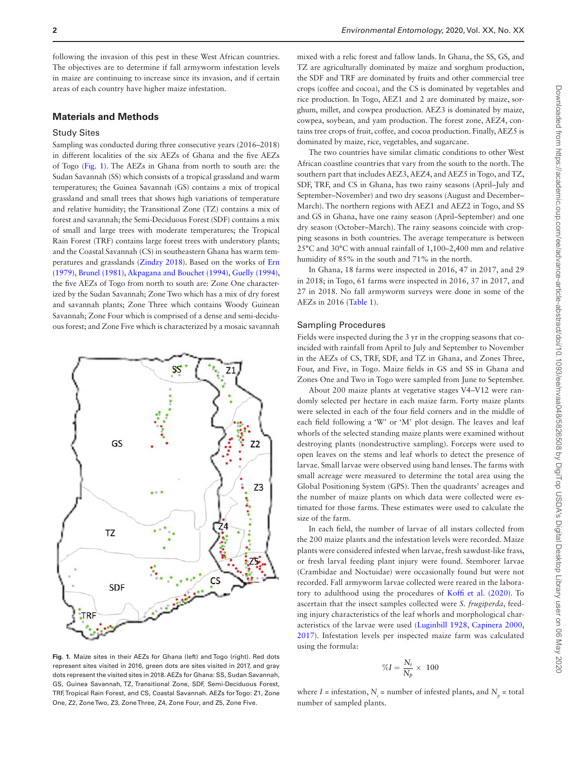following the invasion of this pest in these West African countries. The objectives are to determine if fall armyworm infestation levels in maize are continuing to increase since its invasion, and if certain areas of each country have higher maize infestation.

## **Materials and Methods**

### Study Sites

Sampling was conducted during three consecutive years (2016–2018) in different localities of the six AEZs of Ghana and the five AEZs of Togo ([Fig. 1](#page-1-0)). The AEZs in Ghana from north to south are: the Sudan Savannah (SS) which consists of a tropical grassland and warm temperatures; the Guinea Savannah (GS) contains a mix of tropical grassland and small trees that shows high variations of temperature and relative humidity; the Transitional Zone (TZ) contains a mix of forest and savannah; the Semi-Deciduous Forest (SDF) contains a mix of small and large trees with moderate temperatures; the Tropical Rain Forest (TRF) contains large forest trees with understory plants; and the Coastal Savannah (CS) in southeastern Ghana has warm temperatures and grasslands ([Zindzy 2018](#page-5-10)). Based on the works of [Ern](#page-4-8) [\(1979\),](#page-4-8) [Brunel \(1981\),](#page-4-9) [Akpagana and Bouchet \(1994\)](#page-4-10), [Guelly \(1994\)](#page-5-11), the five AEZs of Togo from north to south are: Zone One characterized by the Sudan Savannah; Zone Two which has a mix of dry forest and savannah plants; Zone Three which contains Woody Guinean Savannah; Zone Four which is comprised of a dense and semi-deciduous forest; and Zone Five which is characterized by a mosaic savannah



<span id="page-1-0"></span>**Fig. 1.** Maize sites in their AEZs for Ghana (left) and Togo (right). Red dots represent sites visited in 2016, green dots are sites visited in 2017, and gray dots represent the visited sites in 2018. AEZs for Ghana: SS, Sudan Savannah, GS, Guinea Savannah, TZ, Transitional Zone, SDF, Semi-Deciduous Forest, TRF, Tropical Rain Forest, and CS, Coastal Savannah. AEZs for Togo: Z1, Zone One, Z2, Zone Two, Z3, Zone Three, Z4, Zone Four, and Z5, Zone Five.

mixed with a relic forest and fallow lands. In Ghana, the SS, GS, and TZ are agriculturally dominated by maize and sorghum production, the SDF and TRF are dominated by fruits and other commercial tree crops (coffee and cocoa), and the CS is dominated by vegetables and rice production. In Togo, AEZ1 and 2 are dominated by maize, sorghum, millet, and cowpea production. AEZ3 is dominated by maize, cowpea, soybean, and yam production. The forest zone, AEZ4, contains tree crops of fruit, coffee, and cocoa production. Finally, AEZ5 is dominated by maize, rice, vegetables, and sugarcane.

The two countries have similar climatic conditions to other West African coastline countries that vary from the south to the north. The southern part that includes AEZ3, AEZ4, and AEZ5 in Togo, and TZ, SDF, TRF, and CS in Ghana, has two rainy seasons (April–July and September–November) and two dry seasons (August and December– March). The northern regions with AEZ1 and AEZ2 in Togo, and SS and GS in Ghana, have one rainy season (April–September) and one dry season (October–March). The rainy seasons coincide with cropping seasons in both countries. The average temperature is between 25°C and 30°C with annual rainfall of 1,100–2,400 mm and relative humidity of 85% in the south and 71% in the north.

In Ghana, 18 farms were inspected in 2016, 47 in 2017, and 29 in 2018; in Togo, 61 farms were inspected in 2016, 37 in 2017, and 27 in 2018. No fall armyworm surveys were done in some of the AEZs in 2016 ([Table 1](#page-2-0)).

## Sampling Procedures

Fields were inspected during the 3 yr in the cropping seasons that coincided with rainfall from April to July and September to November in the AEZs of CS, TRF, SDF, and TZ in Ghana, and Zones Three, Four, and Five, in Togo. Maize fields in GS and SS in Ghana and Zones One and Two in Togo were sampled from June to September.

About 200 maize plants at vegetative stages V4–V12 were randomly selected per hectare in each maize farm. Forty maize plants were selected in each of the four field corners and in the middle of each field following a 'W' or 'M' plot design. The leaves and leaf whorls of the selected standing maize plants were examined without destroying plants (nondestructive sampling). Forceps were used to open leaves on the stems and leaf whorls to detect the presence of larvae. Small larvae were observed using hand lenses. The farms with small acreage were measured to determine the total area using the Global Positioning System (GPS). Then the quadrants' acreages and the number of maize plants on which data were collected were estimated for those farms. These estimates were used to calculate the size of the farm.

In each field, the number of larvae of all instars collected from the 200 maize plants and the infestation levels were recorded. Maize plants were considered infested when larvae, fresh sawdust-like frass, or fresh larval feeding plant injury were found. Stemborer larvae (Crambidae and Noctuidae) were occasionally found but were not recorded. Fall armyworm larvae collected were reared in the laboratory to adulthood using the procedures of [Koffi et al. \(2020\)](#page-5-12). To ascertain that the insect samples collected were *S. frugiperda*, feeding injury characteristics of the leaf whorls and morphological characteristics of the larvae were used ([Luginbill 1928](#page-5-0), [Capinera 2000](#page-4-11), [2017\)](#page-4-0). Infestation levels per inspected maize farm was calculated using the formula:

$$
\%I = \frac{N_i}{N_p}\times~100
$$

where  $I =$  infestation,  $N_i =$  number of infested plants, and  $N_p =$  total number of sampled plants.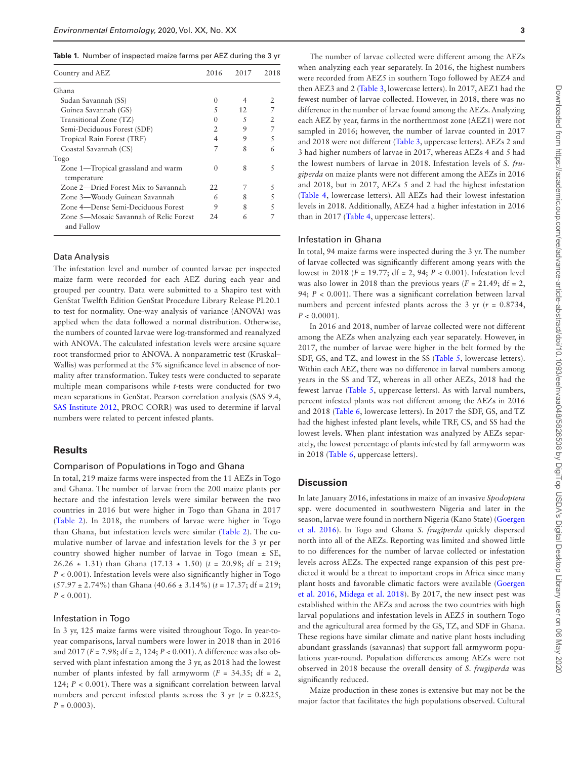<span id="page-2-0"></span>

|  |  | Table 1. Number of inspected maize farms per AEZ during the 3 yr |  |  |  |  |
|--|--|------------------------------------------------------------------|--|--|--|--|
|--|--|------------------------------------------------------------------|--|--|--|--|

| Country and AEZ                                      | 2016             | 2017                     | 2018          |
|------------------------------------------------------|------------------|--------------------------|---------------|
| Ghana                                                |                  |                          |               |
| Sudan Savannah (SS)                                  | $\left( \right)$ | 4                        | 2             |
| Guinea Savannah (GS)                                 | 5                | 12                       | 7             |
| Transitional Zone (TZ)                               | $^{(1)}$         | $\overline{\mathcal{L}}$ | $\mathcal{P}$ |
| Semi-Deciduous Forest (SDF)                          | $\mathfrak{D}$   | 9                        | 7             |
| Tropical Rain Forest (TRF)                           | 4                | 9                        | 5             |
| Coastal Savannah (CS)                                |                  | 8                        |               |
| Togo                                                 |                  |                          |               |
| Zone 1—Tropical grassland and warm<br>temperature    | $^{(1)}$         | 8                        | 5             |
| Zone 2—Dried Forest Mix to Savannah                  | 22               | 7                        | 5             |
| Zone 3—Woody Guinean Savannah                        | 6                | 8                        | 5             |
| Zone 4—Dense Semi-Deciduous Forest                   | 9                | 8                        | 5             |
| Zone 5—Mosaic Savannah of Relic Forest<br>and Fallow | 24               | 6                        |               |

## Data Analysis

The infestation level and number of counted larvae per inspected maize farm were recorded for each AEZ during each year and grouped per country. Data were submitted to a Shapiro test with GenStat Twelfth Edition GenStat Procedure Library Release PL20.1 to test for normality. One-way analysis of variance (ANOVA) was applied when the data followed a normal distribution. Otherwise, the numbers of counted larvae were log-transformed and reanalyzed with ANOVA. The calculated infestation levels were arcsine square root transformed prior to ANOVA. A nonparametric test (Kruskal– Wallis) was performed at the 5% significance level in absence of normality after transformation. Tukey tests were conducted to separate multiple mean comparisons while *t*-tests were conducted for two mean separations in GenStat. Pearson correlation analysis (SAS 9.4, [SAS Institute 2012,](#page-5-13) PROC CORR) was used to determine if larval numbers were related to percent infested plants.

## **Results**

#### Comparison of Populations in Togo and Ghana

In total, 219 maize farms were inspected from the 11 AEZs in Togo and Ghana. The number of larvae from the 200 maize plants per hectare and the infestation levels were similar between the two countries in 2016 but were higher in Togo than Ghana in 2017 ([Table 2](#page-3-0)). In 2018, the numbers of larvae were higher in Togo than Ghana, but infestation levels were similar ([Table 2\)](#page-3-0). The cumulative number of larvae and infestation levels for the 3 yr per country showed higher number of larvae in Togo (mean  $\pm$  SE, 26.26  $\pm$  1.31) than Ghana (17.13  $\pm$  1.50) ( $t$  = 20.98; df = 219; *P* < 0.001). Infestation levels were also significantly higher in Togo (57.97 ± 2.74%) than Ghana (40.66 ± 3.14%) (*t* = 17.37; df = 219;  $P < 0.001$ ).

## Infestation in Togo

In 3 yr, 125 maize farms were visited throughout Togo. In year-toyear comparisons, larval numbers were lower in 2018 than in 2016 and 2017 (*F* = 7.98; df = 2, 124; *P* < 0.001). A difference was also observed with plant infestation among the 3 yr, as 2018 had the lowest number of plants infested by fall armyworm  $(F = 34.35; df = 2,$ 124; *P* < 0.001). There was a significant correlation between larval numbers and percent infested plants across the 3 yr  $(r = 0.8225,$  $P = 0.0003$ .

The number of larvae collected were different among the AEZs when analyzing each year separately. In 2016, the highest numbers were recorded from AEZ5 in southern Togo followed by AEZ4 and then AEZ3 and 2 [\(Table 3,](#page-3-1) lowercase letters). In 2017, AEZ1 had the fewest number of larvae collected. However, in 2018, there was no difference in the number of larvae found among the AEZs. Analyzing each AEZ by year, farms in the northernmost zone (AEZ1) were not sampled in 2016; however, the number of larvae counted in 2017 and 2018 were not different ([Table 3,](#page-3-1) uppercase letters). AEZs 2 and 3 had higher numbers of larvae in 2017, whereas AEZs 4 and 5 had the lowest numbers of larvae in 2018. Infestation levels of *S. frugiperda* on maize plants were not different among the AEZs in 2016 and 2018, but in 2017, AEZs 5 and 2 had the highest infestation ([Table 4](#page-3-2), lowercase letters). All AEZs had their lowest infestation levels in 2018. Additionally, AEZ4 had a higher infestation in 2016 than in 2017 [\(Table 4,](#page-3-2) uppercase letters).

### Infestation in Ghana

In total, 94 maize farms were inspected during the 3 yr. The number of larvae collected was significantly different among years with the lowest in 2018 (*F* = 19.77; df = 2, 94; *P* < 0.001). Infestation level was also lower in 2018 than the previous years  $(F = 21.49; df = 2,$ 94;  $P < 0.001$ ). There was a significant correlation between larval numbers and percent infested plants across the 3 yr  $(r = 0.8734,$  $P < 0.0001$ ).

In 2016 and 2018, number of larvae collected were not different among the AEZs when analyzing each year separately. However, in 2017, the number of larvae were higher in the belt formed by the SDF, GS, and TZ, and lowest in the SS [\(Table 5](#page-4-12), lowercase letters). Within each AEZ, there was no difference in larval numbers among years in the SS and TZ, whereas in all other AEZs, 2018 had the fewest larvae ([Table 5](#page-4-12), uppercase letters). As with larval numbers, percent infested plants was not different among the AEZs in 2016 and 2018 [\(Table 6](#page-4-13), lowercase letters). In 2017 the SDF, GS, and TZ had the highest infested plant levels, while TRF, CS, and SS had the lowest levels. When plant infestation was analyzed by AEZs separately, the lowest percentage of plants infested by fall armyworm was in 2018 ([Table 6](#page-4-13), uppercase letters).

## **Discussion**

In late January 2016, infestations in maize of an invasive *Spodoptera* spp. were documented in southwestern Nigeria and later in the season, larvae were found in northern Nigeria (Kano State) ([Goergen](#page-4-2) [et al. 2016\)](#page-4-2). In Togo and Ghana *S. frugiperda* quickly dispersed north into all of the AEZs. Reporting was limited and showed little to no differences for the number of larvae collected or infestation levels across AEZs. The expected range expansion of this pest predicted it would be a threat to important crops in Africa since many plant hosts and favorable climatic factors were available ([Goergen](#page-4-2) [et al. 2016,](#page-4-2) [Midega et al. 2018\)](#page-5-5). By 2017, the new insect pest was established within the AEZs and across the two countries with high larval populations and infestation levels in AEZ5 in southern Togo and the agricultural area formed by the GS, TZ, and SDF in Ghana. These regions have similar climate and native plant hosts including abundant grasslands (savannas) that support fall armyworm populations year-round. Population differences among AEZs were not observed in 2018 because the overall density of *S. frugiperda* was significantly reduced.

Maize production in these zones is extensive but may not be the major factor that facilitates the high populations observed. Cultural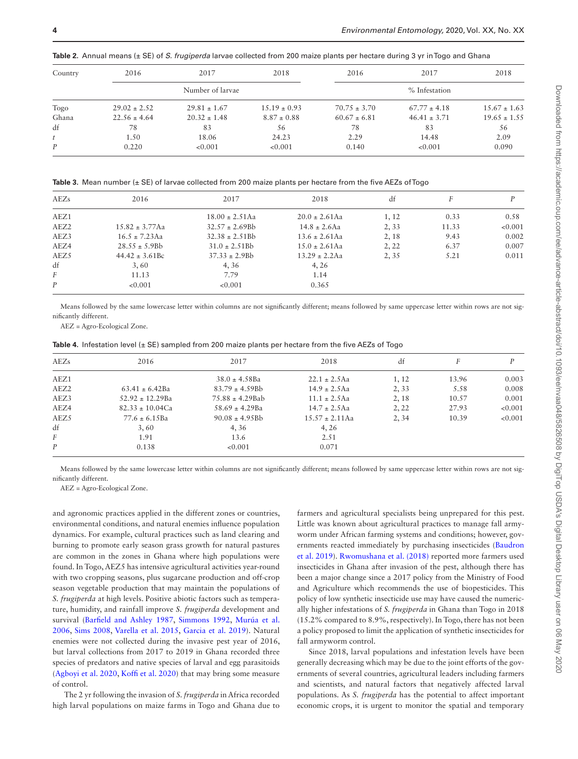<span id="page-3-0"></span>**Table 2.** Annual means (± SE) of *S. frugiperda* larvae collected from 200 maize plants per hectare during 3 yr in Togo and Ghana

| Country | 2016             | 2017             | 2018             | 2016             | 2017             | 2018             |  |
|---------|------------------|------------------|------------------|------------------|------------------|------------------|--|
|         |                  | Number of larvae |                  | % Infestation    |                  |                  |  |
| Togo    | $29.02 \pm 2.52$ | $29.81 \pm 1.67$ | $15.19 \pm 0.93$ | $70.75 \pm 3.70$ | $67.77 \pm 4.18$ | $15.67 \pm 1.63$ |  |
| Ghana   | $22.56 \pm 4.64$ | $20.32 \pm 1.48$ | $8.87 \pm 0.88$  | $60.67 \pm 6.81$ | $46.41 \pm 3.71$ | $19.65 \pm 1.55$ |  |
| df      | 78               | 83               | 56               | 78               | 83               | 56               |  |
| t       | 1.50             | 18.06            | 24.23            | 2.29             | 14.48            | 2.09             |  |
| P       | 0.220            | < 0.001          | < 0.001          | 0.140            | < 0.001          | 0.090            |  |

<span id="page-3-1"></span>**Table 3.** Mean number (± SE) of larvae collected from 200 maize plants per hectare from the five AEZs of Togo

| AEZs             | 2016                | 2017                | 2018               | df    | F     | D       |
|------------------|---------------------|---------------------|--------------------|-------|-------|---------|
| AEZ1             |                     | $18.00 \pm 2.51$ Aa | $20.0 \pm 2.61$ Aa | 1, 12 | 0.33  | 0.58    |
| AEZ <sub>2</sub> | $15.82 \pm 3.77$ Aa | $32.57 \pm 2.69$ Bb | $14.8 \pm 2.6$ Aa  | 2,33  | 11.33 | < 0.001 |
| AEZ3             | $16.5 \pm 7.23$ Aa  | $32.38 \pm 2.51Bb$  | $13.6 \pm 2.61$ Aa | 2, 18 | 9.43  | 0.002   |
| AEZ4             | $28.55 \pm 5.9$ Bb  | $31.0 \pm 2.51Bb$   | $15.0 \pm 2.61$ Aa | 2, 22 | 6.37  | 0.007   |
| AEZ5             | $44.42 \pm 3.61$ Bc | $37.33 \pm 2.9$ Bb  | $13.29 \pm 2.2$ Aa | 2, 35 | 5.21  | 0.011   |
| df               | 3,60                | 4,36                | 4, 26              |       |       |         |
| F                | 11.13               | 7.79                | 1.14               |       |       |         |
| P                | < 0.001             | < 0.001             | 0.365              |       |       |         |

Means followed by the same lowercase letter within columns are not significantly different; means followed by same uppercase letter within rows are not significantly different.

AEZ = Agro-Ecological Zone.

<span id="page-3-2"></span>

|  |  |  | Table 4. Infestation level (± SE) sampled from 200 maize plants per hectare from the five AEZs of Togo |  |  |  |  |  |
|--|--|--|--------------------------------------------------------------------------------------------------------|--|--|--|--|--|
|--|--|--|--------------------------------------------------------------------------------------------------------|--|--|--|--|--|

| AEZs             | 2016                 | 2017                 | 2018                | df    |       | D       |
|------------------|----------------------|----------------------|---------------------|-------|-------|---------|
| AEZ1             |                      | $38.0 \pm 4.58$ Ba   | $22.1 \pm 2.5$ Aa   | 1, 12 | 13.96 | 0.003   |
| AEZ <sub>2</sub> | $63.41 \pm 6.42$ Ba  | $83.79 \pm 4.59Bb$   | $14.9 \pm 2.5$ Aa   | 2,33  | 5.58  | 0.008   |
| AEZ3             | $52.92 \pm 12.29$ Ba | $75.88 \pm 4.29$ Bab | $11.1 \pm 2.5$ Aa   | 2, 18 | 10.57 | 0.001   |
| AEZ4             | $82.33 \pm 10.04$ Ca | $58.69 \pm 4.29$ Ba  | $14.7 \pm 2.5$ Aa   | 2, 22 | 27.93 | < 0.001 |
| AEZ5             | $77.6 \pm 6.15$ Ba   | $90.08 \pm 4.95Bb$   | $15.57 \pm 2.11$ Aa | 2, 34 | 10.39 | < 0.001 |
| df               | 3,60                 | 4, 36                | 4, 26               |       |       |         |
| $\overline{F}$   | 1.91                 | 13.6                 | 2.51                |       |       |         |
| $\boldsymbol{P}$ | 0.138                | < 0.001              | 0.071               |       |       |         |

Means followed by the same lowercase letter within columns are not significantly different; means followed by same uppercase letter within rows are not significantly different.

AEZ = Agro-Ecological Zone.

and agronomic practices applied in the different zones or countries, environmental conditions, and natural enemies influence population dynamics. For example, cultural practices such as land clearing and burning to promote early season grass growth for natural pastures are common in the zones in Ghana where high populations were found. In Togo, AEZ5 has intensive agricultural activities year-round with two cropping seasons, plus sugarcane production and off-crop season vegetable production that may maintain the populations of *S. frugiperda* at high levels. Positive abiotic factors such as temperature, humidity, and rainfall improve *S. frugiperda* development and survival ([Barfield and Ashley 1987,](#page-4-14) [Simmons 1992](#page-5-14), [Murúa et al.](#page-5-15) [2006,](#page-5-15) [Sims 2008,](#page-5-16) [Varella et al. 2015](#page-5-17), [Garcia et al. 2019](#page-4-15)). Natural enemies were not collected during the invasive pest year of 2016, but larval collections from 2017 to 2019 in Ghana recorded three species of predators and native species of larval and egg parasitoids ([Agboyi et al. 2020,](#page-4-16) [Koffi et al. 2020](#page-5-12)) that may bring some measure of control.

The 2 yr following the invasion of *S. frugiperda* in Africa recorded high larval populations on maize farms in Togo and Ghana due to

farmers and agricultural specialists being unprepared for this pest. Little was known about agricultural practices to manage fall armyworm under African farming systems and conditions; however, governments reacted immediately by purchasing insecticides [\(Baudron](#page-4-17) [et al. 2019](#page-4-17)). [Rwomushana et al. \(2018\)](#page-5-9) reported more farmers used insecticides in Ghana after invasion of the pest, although there has been a major change since a 2017 policy from the Ministry of Food and Agriculture which recommends the use of biopesticides. This policy of low synthetic insecticide use may have caused the numerically higher infestations of *S. frugiperda* in Ghana than Togo in 2018 (15.2% compared to 8.9%, respectively). In Togo, there has not been a policy proposed to limit the application of synthetic insecticides for fall armyworm control.

Since 2018, larval populations and infestation levels have been generally decreasing which may be due to the joint efforts of the governments of several countries, agricultural leaders including farmers and scientists, and natural factors that negatively affected larval populations. As *S. frugiperda* has the potential to affect important economic crops, it is urgent to monitor the spatial and temporary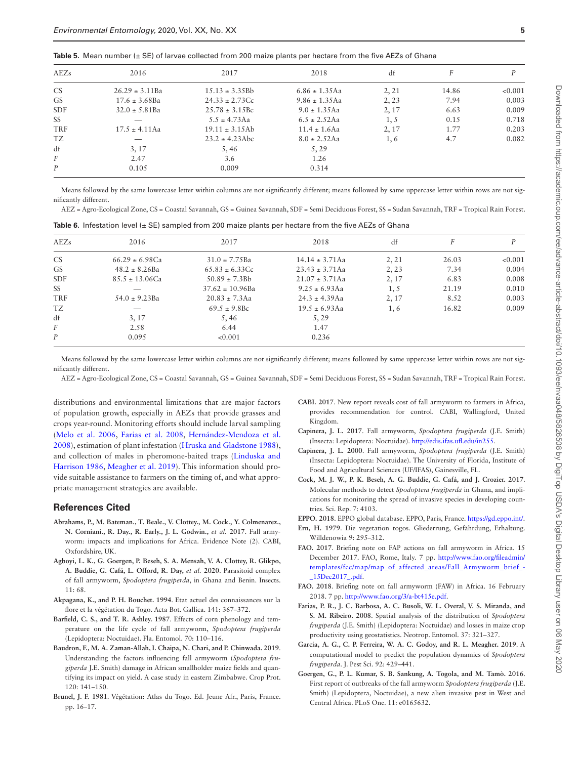<span id="page-4-12"></span>

| Table 5. Mean number $(\pm$ SE) of larvae collected from 200 maize plants per hectare from the five AEZs of Ghana |  |  |
|-------------------------------------------------------------------------------------------------------------------|--|--|
|-------------------------------------------------------------------------------------------------------------------|--|--|

| AEZs             | 2016                | 2017                | 2018               | df    |       |         |  |
|------------------|---------------------|---------------------|--------------------|-------|-------|---------|--|
| <b>CS</b>        | $26.29 \pm 3.11$ Ba | $15.13 \pm 3.35Bb$  | $6.86 \pm 1.35$ Aa | 2, 21 | 14.86 | < 0.001 |  |
| <b>GS</b>        | $17.6 \pm 3.68$ Ba  | $24.33 \pm 2.73$ Cc | $9.86 \pm 1.35$ Aa | 2, 23 | 7.94  | 0.003   |  |
| <b>SDF</b>       | $32.0 \pm 5.81$ Ba  | $25.78 \pm 3.15$ Bc | $9.0 \pm 1.35$ Aa  | 2, 17 | 6.63  | 0.009   |  |
| SS               |                     | $5.5 \pm 4.73$ Aa   | $6.5 \pm 2.52$ Aa  | 1, 5  | 0.15  | 0.718   |  |
| <b>TRF</b>       | $17.5 \pm 4.11$ Aa  | $19.11 \pm 3.15$ Ab | $11.4 \pm 1.6$ Aa  | 2, 17 | 1.77  | 0.203   |  |
| TZ               |                     | $23.2 \pm 4.23$ Abc | $8.0 \pm 2.52$ Aa  | 1,6   | 4.7   | 0.082   |  |
| df               | 3, 17               | 5.46                | 5,29               |       |       |         |  |
| F                | 2.47                | 3.6                 | 1.26               |       |       |         |  |
| $\boldsymbol{P}$ | 0.105               | 0.009               | 0.314              |       |       |         |  |

Means followed by the same lowercase letter within columns are not significantly different; means followed by same uppercase letter within rows are not significantly different.

AEZ = Agro-Ecological Zone, CS = Coastal Savannah, GS = Guinea Savannah, SDF = Semi Deciduous Forest, SS = Sudan Savannah, TRF = Tropical Rain Forest.

<span id="page-4-13"></span>

|  |  |  |  | <b>Table 6.</b> Infestation level $(\pm$ SE) sampled from 200 maize plants per hectare from the five AEZs of Ghana |  |  |  |  |  |
|--|--|--|--|--------------------------------------------------------------------------------------------------------------------|--|--|--|--|--|
|--|--|--|--|--------------------------------------------------------------------------------------------------------------------|--|--|--|--|--|

| AEZs       | 2016                      | 2017                 | 2018                | df    |       | D       |
|------------|---------------------------|----------------------|---------------------|-------|-------|---------|
| <b>CS</b>  | $66.29 \pm 6.98$ Ca       | $31.0 \pm 7.75$ Ba   | $14.14 \pm 3.71$ Aa | 2, 21 | 26.03 | < 0.001 |
| <b>GS</b>  | $48.2 \pm 8.26$ Ba        | $65.83 \pm 6.33$ Cc  | $23.43 \pm 3.71$ Aa | 2, 23 | 7.34  | 0.004   |
| <b>SDF</b> | $85.5 \pm 13.06$ Ca       | $50.89 \pm 7.3$ Bb   | $21.07 \pm 3.71$ Aa | 2, 17 | 6.83  | 0.008   |
| SS         |                           | $37.62 \pm 10.96$ Ba | $9.25 \pm 6.93$ Aa  | 1, 5  | 21.19 | 0.010   |
| <b>TRF</b> | $54.0 \pm 9.23 \text{Ba}$ | $20.83 \pm 7.3$ Aa   | $24.3 \pm 4.39$ Aa  | 2, 17 | 8.52  | 0.003   |
| TZ         |                           | $69.5 \pm 9.8$ Bc    | $19.5 \pm 6.93$ Aa  | 1, 6  | 16.82 | 0.009   |
| df         | 3, 17                     | 5,46                 | 5,29                |       |       |         |
| F          | 2.58                      | 6.44                 | 1.47                |       |       |         |
| P          | 0.095                     | < 0.001              | 0.236               |       |       |         |

Means followed by the same lowercase letter within columns are not significantly different; means followed by same uppercase letter within rows are not significantly different.

AEZ = Agro-Ecological Zone, CS = Coastal Savannah, GS = Guinea Savannah, SDF = Semi Deciduous Forest, SS = Sudan Savannah, TRF = Tropical Rain Forest.

distributions and environmental limitations that are major factors of population growth, especially in AEZs that provide grasses and crops year-round. Monitoring efforts should include larval sampling ([Melo et al. 2006](#page-5-18), [Farias et al. 2008,](#page-4-18) [Hernández-Mendoza et al.](#page-5-19) [2008\)](#page-5-19), estimation of plant infestation [\(Hruska and Gladstone 1988\)](#page-5-20), and collection of males in pheromone-baited traps ([Linduska and](#page-5-21) [Harrison 1986](#page-5-21), [Meagher et al. 2019\)](#page-5-22). This information should provide suitable assistance to farmers on the timing of, and what appropriate management strategies are available.

#### **References Cited**

- <span id="page-4-3"></span>**Abrahams, P., M. Bateman., T. Beale., V. Clottey., M. Cock., Y. Colmenarez., N. Corniani., R. Day., R. Early., J. L. Godwin.,** *et al.* **2017**. Fall armyworm: impacts and implications for Africa. Evidence Note (2). CABI, Oxfordshire, UK.
- <span id="page-4-16"></span>**Agboyi, L. K., G. Goergen, P. Beseh, S. A. Mensah, V. A. Clottey, R. Glikpo, A. Buddie, G. Cafá, L. Offord, R. Day,** *et al.* **2020**. Parasitoid complex of fall armyworm, *Spodoptera frugiperda*, in Ghana and Benin. Insects. 11: 68.
- <span id="page-4-10"></span>**Akpagana, K., and P. H. Bouchet. 1994**. Etat actuel des connaissances sur la flore et la végétation du Togo. Acta Bot. Gallica. 141: 367–372.
- <span id="page-4-14"></span>**Barfield, C. S., and T. R. Ashley. 1987**. Effects of corn phenology and temperature on the life cycle of fall armyworm, *Spodoptera frugiperda* (Lepidoptera: Noctuidae). Fla. Entomol. 70: 110–116.
- <span id="page-4-17"></span>**Baudron, F., M. A. Zaman-Allah, I. Chaipa, N. Chari, and P. Chinwada. 2019**. Understanding the factors influencing fall armyworm (*Spodoptera frugiperda* J.E. Smith) damage in African smallholder maize fields and quantifying its impact on yield. A case study in eastern Zimbabwe. Crop Prot. 120: 141–150.
- <span id="page-4-9"></span>**Brunel, J. F. 1981**. Végétation: Atlas du Togo. Ed. Jeune Afr., Paris, France. pp. 16–17.
- <span id="page-4-1"></span>**CABI. 2017**. New report reveals cost of fall armyworm to farmers in Africa, provides recommendation for control. CABI, Wallingford, United Kingdom.
- <span id="page-4-0"></span>**Capinera, J. L. 2017**. Fall armyworm, *Spodoptera frugiperda* (J.E. Smith) (Insecta: Lepidoptera: Noctuidae). [http://edis.ifas.ufl.edu/in255.](http://edis.ifas.ufl.edu/in255﻿)
- <span id="page-4-11"></span>**Capinera, J. L. 2000**. Fall armyworm, *Spodoptera frugiperda* (J.E. Smith) (Insecta: Lepidoptera: Noctuidae). The University of Florida, Institute of Food and Agricultural Sciences (UF/IFAS), Gainesville, FL.
- <span id="page-4-4"></span>**Cock, M. J. W., P. K. Beseh, A. G. Buddie, G. Cafá, and J. Crozier. 2017**. Molecular methods to detect *Spodoptera frugiperda* in Ghana, and implications for monitoring the spread of invasive species in developing countries. Sci. Rep. 7: 4103.
- <span id="page-4-8"></span><span id="page-4-6"></span>**EPPO. 2018**. EPPO global database. EPPO, Paris, France. <https://gd.eppo.int/>. **Ern, H. 1979**. Die vegetation togos. Gliederrung, Gefährdung, Erhaltung.
- Willdenowia 9: 295–312.
- <span id="page-4-5"></span>**FAO. 2017**. Briefing note on FAP actions on fall armyworm in Africa. 15 December 2017. FAO, Rome, Italy. 7 pp. [http://www.fao.org/fileadmin/](http://www.fao.org/fileadmin/templates/fcc/map/map_of_affected_areas/Fall_Armyworm_brief_-_15Dec2017_.pdf) [templates/fcc/map/map\\_of\\_affected\\_areas/Fall\\_Armyworm\\_brief\\_-](http://www.fao.org/fileadmin/templates/fcc/map/map_of_affected_areas/Fall_Armyworm_brief_-_15Dec2017_.pdf) [\\_15Dec2017\\_.pdf](http://www.fao.org/fileadmin/templates/fcc/map/map_of_affected_areas/Fall_Armyworm_brief_-_15Dec2017_.pdf).
- <span id="page-4-7"></span>**FAO. 2018**. Briefing note on fall armyworm (FAW) in Africa. 16 February 2018. 7 pp. [http://www.fao.org/3/a-bt415e.pdf.](http://www.fao.org/3/a-bt415e.pdf)
- <span id="page-4-18"></span>**Farias, P. R., J. C. Barbosa, A. C. Busoli, W. L. Overal, V. S. Miranda, and S. M. Ribeiro. 2008**. Spatial analysis of the distribution of *Spodoptera frugiperda* (J.E. Smith) (Lepidoptera: Noctuidae) and losses in maize crop productivity using geostatistics. Neotrop. Entomol. 37: 321–327.
- <span id="page-4-15"></span>**Garcia, A. G., C. P. Ferreira, W. A. C. Godoy, and R. L. Meagher. 2019**. A computational model to predict the population dynamics of *Spodoptera frugiperda*. J. Pest Sci. 92: 429–441.
- <span id="page-4-2"></span>**Goergen, G., P. L. Kumar, S. B. Sankung, A. Togola, and M. Tamò. 2016**. First report of outbreaks of the fall armyworm *Spodoptera frugiperda* (J.E. Smith) (Lepidoptera, Noctuidae), a new alien invasive pest in West and Central Africa. PLoS One. 11: e0165632.